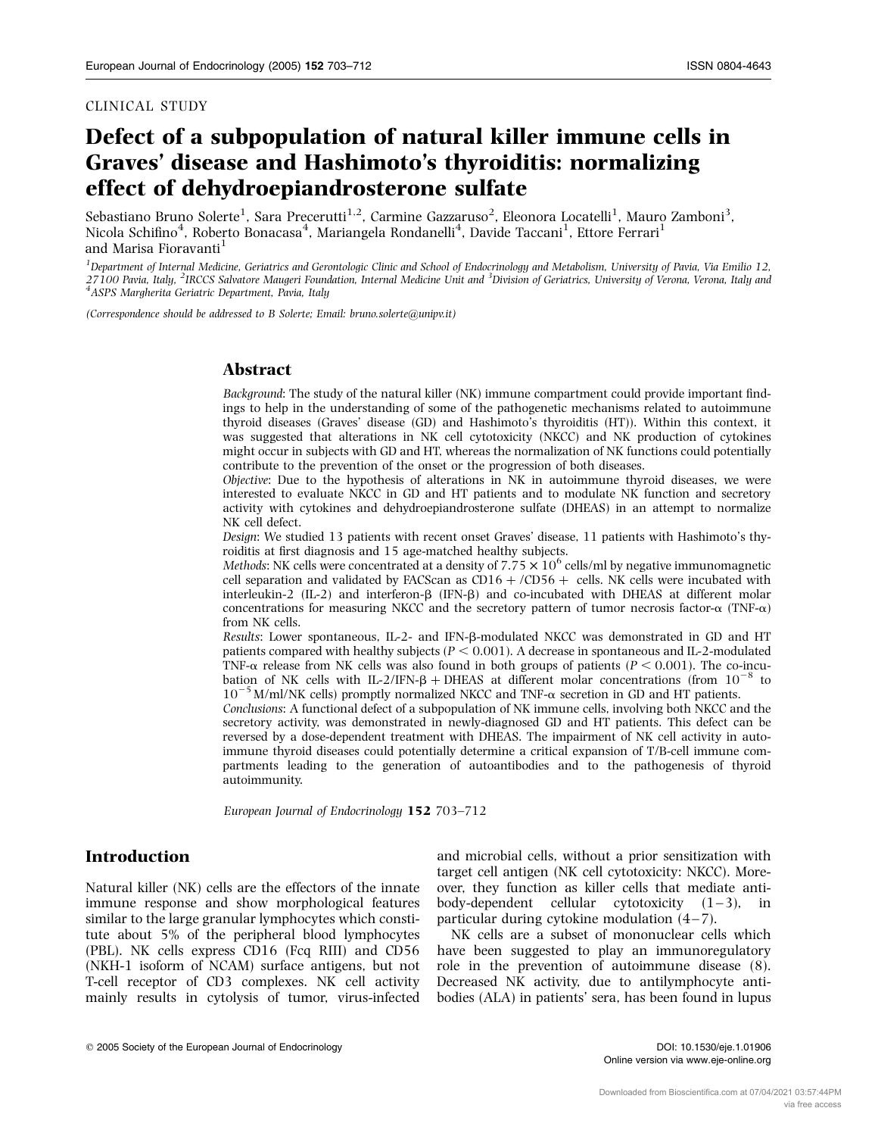#### CLINICAL STUDY

# Defect of a subpopulation of natural killer immune cells in Graves' disease and Hashimoto's thyroiditis: normalizing effect of dehydroepiandrosterone sulfate

Sebastiano Bruno Solerte<sup>1</sup>, Sara Precerutti<sup>1,2</sup>, Carmine Gazzaruso<sup>2</sup>, Eleonora Locatelli<sup>1</sup>, Mauro Zamboni<sup>3</sup>, Nicola Schifino<sup>4</sup>, Roberto Bonacasa<sup>4</sup>, Mariangela Rondanelli<sup>4</sup>, Davide Taccani<sup>1</sup>, Ettore Ferrari<sup>1</sup> and Marisa Fioravanti<sup>1</sup>

<sup>1</sup> Department of Internal Medicine, Geriatrics and Gerontologic Clinic and School of Endocrinology and Metabolism, University of Pavia, Via Emilio 12, 27100 Pavia, Italy, <sup>2</sup>IRCCS Salvatore Maugeri Foundation, Internal Medicine Unit and <sup>3</sup>Division of Geriatrics, University of Verona, Verona, Italy and<br><sup>4</sup>ASPS Margherita Geriatric Department, Pavia, Italy

(Correspondence should be addressed to B Solerte; Email: bruno.solerte@unipv.it)

#### Abstract

Background: The study of the natural killer (NK) immune compartment could provide important findings to help in the understanding of some of the pathogenetic mechanisms related to autoimmune thyroid diseases (Graves' disease (GD) and Hashimoto's thyroiditis (HT)). Within this context, it was suggested that alterations in NK cell cytotoxicity (NKCC) and NK production of cytokines might occur in subjects with GD and HT, whereas the normalization of NK functions could potentially contribute to the prevention of the onset or the progression of both diseases.

Objective: Due to the hypothesis of alterations in NK in autoimmune thyroid diseases, we were interested to evaluate NKCC in GD and HT patients and to modulate NK function and secretory activity with cytokines and dehydroepiandrosterone sulfate (DHEAS) in an attempt to normalize NK cell defect.

Design: We studied 13 patients with recent onset Graves' disease, 11 patients with Hashimoto's thyroiditis at first diagnosis and 15 age-matched healthy subjects.

*Methods*: NK cells were concentrated at a density of  $7.75 \times 10^6$  cells/ml by negative immunomagnetic cell separation and validated by FACScan as CD16  $+$  /CD56  $+$  cells. NK cells were incubated with interleukin-2  $(IL-2)$  and interferon- $\beta$  (IFN- $\beta$ ) and co-incubated with DHEAS at different molar concentrations for measuring NKCC and the secretory pattern of tumor necrosis factor- $\alpha$  (TNF- $\alpha$ ) from NK cells.

Results: Lower spontaneous, IL-2- and IFN-b-modulated NKCC was demonstrated in GD and HT patients compared with healthy subjects ( $P < 0.001$ ). A decrease in spontaneous and IL-2-modulated TNF- $\alpha$  release from NK cells was also found in both groups of patients ( $P \le 0.001$ ). The co-incubation of NK cells with IL-2/IFN- $\beta$  + DHEAS at different molar concentrations (from  $10^{-8}$  to  $10^{-5}$  M/ml/NK cells) promptly normalized NKCC and TNF- $\alpha$  secretion in GD and HT patients.

Conclusions: A functional defect of a subpopulation of NK immune cells, involving both NKCC and the secretory activity, was demonstrated in newly-diagnosed GD and HT patients. This defect can be reversed by a dose-dependent treatment with DHEAS. The impairment of NK cell activity in autoimmune thyroid diseases could potentially determine a critical expansion of T/B-cell immune compartments leading to the generation of autoantibodies and to the pathogenesis of thyroid autoimmunity.

European Journal of Endocrinology 152 703–712

### Introduction

Natural killer (NK) cells are the effectors of the innate immune response and show morphological features similar to the large granular lymphocytes which constitute about 5% of the peripheral blood lymphocytes (PBL). NK cells express CD16 (Fcq RIII) and CD56 (NKH-1 isoform of NCAM) surface antigens, but not T-cell receptor of CD3 complexes. NK cell activity mainly results in cytolysis of tumor, virus-infected

and microbial cells, without a prior sensitization with target cell antigen (NK cell cytotoxicity: NKCC). Moreover, they function as killer cells that mediate antibody-dependent cellular cytotoxicity  $(1-3)$ , in particular during cytokine modulation (4–7).

NK cells are a subset of mononuclear cells which have been suggested to play an immunoregulatory role in the prevention of autoimmune disease (8). Decreased NK activity, due to antilymphocyte antibodies (ALA) in patients' sera, has been found in lupus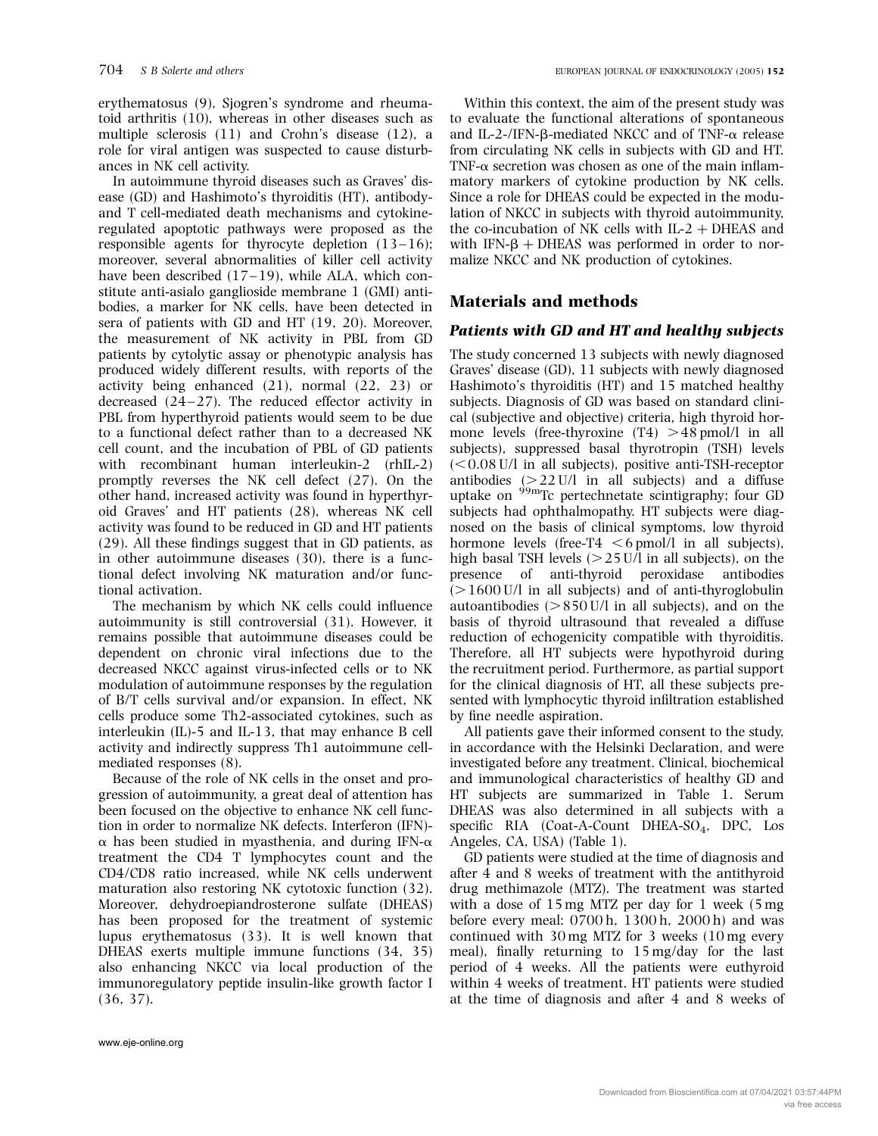erythematosus (9), Sjogren's syndrome and rheumatoid arthritis (10), whereas in other diseases such as multiple sclerosis (11) and Crohn's disease (12), a role for viral antigen was suspected to cause disturbances in NK cell activity.

In autoimmune thyroid diseases such as Graves' disease (GD) and Hashimoto's thyroiditis (HT), antibodyand T cell-mediated death mechanisms and cytokineregulated apoptotic pathways were proposed as the responsible agents for thyrocyte depletion  $(13-16)$ ; moreover, several abnormalities of killer cell activity have been described  $(17-19)$ , while ALA, which constitute anti-asialo ganglioside membrane 1 (GMI) antibodies, a marker for NK cells, have been detected in sera of patients with GD and HT (19, 20). Moreover, the measurement of NK activity in PBL from GD patients by cytolytic assay or phenotypic analysis has produced widely different results, with reports of the activity being enhanced (21), normal (22, 23) or decreased  $(24-27)$ . The reduced effector activity in PBL from hyperthyroid patients would seem to be due to a functional defect rather than to a decreased NK cell count, and the incubation of PBL of GD patients with recombinant human interleukin-2 (rhIL-2) promptly reverses the NK cell defect (27). On the other hand, increased activity was found in hyperthyroid Graves' and HT patients (28), whereas NK cell activity was found to be reduced in GD and HT patients (29). All these findings suggest that in GD patients, as in other autoimmune diseases (30), there is a functional defect involving NK maturation and/or functional activation.

The mechanism by which NK cells could influence autoimmunity is still controversial (31). However, it remains possible that autoimmune diseases could be dependent on chronic viral infections due to the decreased NKCC against virus-infected cells or to NK modulation of autoimmune responses by the regulation of B/T cells survival and/or expansion. In effect, NK cells produce some Th2-associated cytokines, such as interleukin (IL)-5 and IL-13, that may enhance B cell activity and indirectly suppress Th1 autoimmune cellmediated responses (8).

Because of the role of NK cells in the onset and progression of autoimmunity, a great deal of attention has been focused on the objective to enhance NK cell function in order to normalize NK defects. Interferon (IFN)-  $\alpha$  has been studied in myasthenia, and during IFN- $\alpha$ treatment the CD4 T lymphocytes count and the CD4/CD8 ratio increased, while NK cells underwent maturation also restoring NK cytotoxic function (32). Moreover, dehydroepiandrosterone sulfate (DHEAS) has been proposed for the treatment of systemic lupus erythematosus (33). It is well known that DHEAS exerts multiple immune functions (34, 35) also enhancing NKCC via local production of the immunoregulatory peptide insulin-like growth factor I (36, 37).

Within this context, the aim of the present study was to evaluate the functional alterations of spontaneous and IL-2-/IFN- $\beta$ -mediated NKCC and of TNF- $\alpha$  release from circulating NK cells in subjects with GD and HT. TNF- $\alpha$  secretion was chosen as one of the main inflammatory markers of cytokine production by NK cells. Since a role for DHEAS could be expected in the modulation of NKCC in subjects with thyroid autoimmunity, the co-incubation of NK cells with  $IL-2 + DHEAS$  and with IFN- $\beta$  + DHEAS was performed in order to normalize NKCC and NK production of cytokines.

## Materials and methods

### Patients with GD and HT and healthy subjects

The study concerned 13 subjects with newly diagnosed Graves' disease (GD), 11 subjects with newly diagnosed Hashimoto's thyroiditis (HT) and 15 matched healthy subjects. Diagnosis of GD was based on standard clinical (subjective and objective) criteria, high thyroid hormone levels (free-thyroxine  $(T4) > 48$  pmol/l in all subjects), suppressed basal thyrotropin (TSH) levels  $(< 0.08$  U/l in all subjects), positive anti-TSH-receptor antibodies  $(>22 \text{ U/l}$  in all subjects) and a diffuse uptake on <sup>99<sub>m</sub>Tc pertechnetate scintigraphy; four GD</sup> subjects had ophthalmopathy. HT subjects were diagnosed on the basis of clinical symptoms, low thyroid hormone levels (free-T4  $\leq 6$  pmol/l in all subjects), high basal TSH levels  $(>25 \text{ U/l}$  in all subjects), on the presence of anti-thyroid peroxidase antibodies  $(>1600$  U/l in all subjects) and of anti-thyroglobulin autoantibodies  $(>850$  U/l in all subjects), and on the basis of thyroid ultrasound that revealed a diffuse reduction of echogenicity compatible with thyroiditis. Therefore, all HT subjects were hypothyroid during the recruitment period. Furthermore, as partial support for the clinical diagnosis of HT, all these subjects presented with lymphocytic thyroid infiltration established by fine needle aspiration.

All patients gave their informed consent to the study, in accordance with the Helsinki Declaration, and were investigated before any treatment. Clinical, biochemical and immunological characteristics of healthy GD and HT subjects are summarized in Table 1. Serum DHEAS was also determined in all subjects with a specific RIA (Coat-A-Count DHEA-SO<sub>4</sub>, DPC, Los Angeles, CA, USA) (Table 1).

GD patients were studied at the time of diagnosis and after 4 and 8 weeks of treatment with the antithyroid drug methimazole (MTZ). The treatment was started with a dose of 15 mg MTZ per day for 1 week (5 mg before every meal: 0700 h, 1300 h, 2000 h) and was continued with 30 mg MTZ for 3 weeks (10 mg every meal), finally returning to 15 mg/day for the last period of 4 weeks. All the patients were euthyroid within 4 weeks of treatment. HT patients were studied at the time of diagnosis and after 4 and 8 weeks of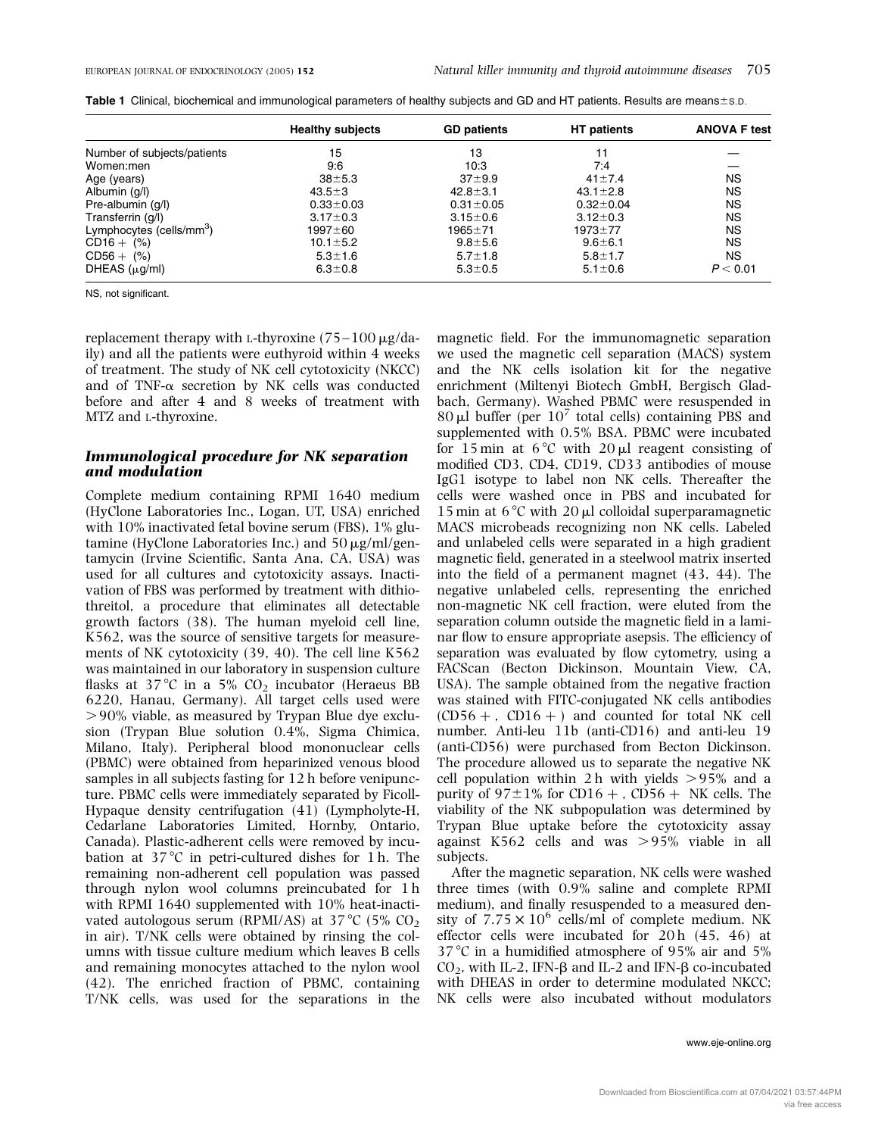|                                      | <b>Healthy subjects</b> | <b>GD patients</b> | <b>HT</b> patients | <b>ANOVA F test</b> |
|--------------------------------------|-------------------------|--------------------|--------------------|---------------------|
| Number of subjects/patients          | 15                      | 13                 | 11                 |                     |
| Women:men                            | 9:6                     | 10:3               | 7:4                |                     |
| Age (years)                          | $38 + 5.3$              | $37 + 9.9$         | $41 \pm 7.4$       | <b>NS</b>           |
| Albumin (g/l)                        | $43.5 \pm 3$            | $42.8 \pm 3.1$     | $43.1 \pm 2.8$     | <b>NS</b>           |
| Pre-albumin (g/l)                    | $0.33 \pm 0.03$         | $0.31 \pm 0.05$    | $0.32 \pm 0.04$    | <b>NS</b>           |
| Transferrin (g/l)                    | $3.17 \pm 0.3$          | $3.15 \pm 0.6$     | $3.12 \pm 0.3$     | <b>NS</b>           |
| Lymphocytes (cells/mm <sup>3</sup> ) | 1997±60                 | $1965 + 71$        | $1973 + 77$        | <b>NS</b>           |
| $CD16 + (%)$                         | $10.1 \pm 5.2$          | $9.8 + 5.6$        | $9.6 \pm 6.1$      | <b>NS</b>           |
| $CDS6 + (%)$                         | $5.3 \pm 1.6$           | $5.7 \pm 1.8$      | $5.8 \pm 1.7$      | <b>NS</b>           |
| DHEAS $(\mu g/ml)$                   | $6.3 \pm 0.8$           | $5.3 \pm 0.5$      | $5.1 \pm 0.6$      | P < 0.01            |

Table 1 Clinical, biochemical and immunological parameters of healthy subjects and GD and HT patients. Results are means $\pm$ s.D.

NS, not significant.

replacement therapy with L-thyroxine  $(75-100 \,\mu\text{g}/\text{da}$ ily) and all the patients were euthyroid within 4 weeks of treatment. The study of NK cell cytotoxicity (NKCC) and of TNF- $\alpha$  secretion by NK cells was conducted before and after 4 and 8 weeks of treatment with MTZ and L-thyroxine.

#### Immunological procedure for NK separation and modulation

Complete medium containing RPMI 1640 medium (HyClone Laboratories Inc., Logan, UT, USA) enriched with 10% inactivated fetal bovine serum (FBS), 1% glutamine (HyClone Laboratories Inc.) and  $50 \mu g/ml/gen$ tamycin (Irvine Scientific, Santa Ana, CA, USA) was used for all cultures and cytotoxicity assays. Inactivation of FBS was performed by treatment with dithiothreitol, a procedure that eliminates all detectable growth factors (38). The human myeloid cell line, K562, was the source of sensitive targets for measurements of NK cytotoxicity (39, 40). The cell line K562 was maintained in our laboratory in suspension culture flasks at  $37^{\circ}$ C in a  $5\%$  CO<sub>2</sub> incubator (Heraeus BB 6220, Hanau, Germany). All target cells used were  $>90\%$  viable, as measured by Trypan Blue dye exclusion (Trypan Blue solution 0.4%, Sigma Chimica, Milano, Italy). Peripheral blood mononuclear cells (PBMC) were obtained from heparinized venous blood samples in all subjects fasting for 12 h before venipuncture. PBMC cells were immediately separated by Ficoll-Hypaque density centrifugation (41) (Lympholyte-H, Cedarlane Laboratories Limited, Hornby, Ontario, Canada). Plastic-adherent cells were removed by incubation at  $37^{\circ}$ C in petri-cultured dishes for 1 h. The remaining non-adherent cell population was passed through nylon wool columns preincubated for 1 h with RPMI 1640 supplemented with 10% heat-inactivated autologous serum (RPMI/AS) at  $37^{\circ}$ C (5% CO<sub>2</sub>) in air). T/NK cells were obtained by rinsing the columns with tissue culture medium which leaves B cells and remaining monocytes attached to the nylon wool (42). The enriched fraction of PBMC, containing T/NK cells, was used for the separations in the magnetic field. For the immunomagnetic separation we used the magnetic cell separation (MACS) system and the NK cells isolation kit for the negative enrichment (Miltenyi Biotech GmbH, Bergisch Gladbach, Germany). Washed PBMC were resuspended in 80  $\mu$ l buffer (per 10<sup>7</sup> total cells) containing PBS and supplemented with 0.5% BSA. PBMC were incubated for 15 min at  $6^{\circ}$ C with 20 µl reagent consisting of modified CD3, CD4, CD19, CD33 antibodies of mouse IgG1 isotype to label non NK cells. Thereafter the cells were washed once in PBS and incubated for 15 min at 6 °C with 20  $\mu$ l colloidal superparamagnetic MACS microbeads recognizing non NK cells. Labeled and unlabeled cells were separated in a high gradient magnetic field, generated in a steelwool matrix inserted into the field of a permanent magnet (43, 44). The negative unlabeled cells, representing the enriched non-magnetic NK cell fraction, were eluted from the separation column outside the magnetic field in a laminar flow to ensure appropriate asepsis. The efficiency of separation was evaluated by flow cytometry, using a FACScan (Becton Dickinson, Mountain View, CA, USA). The sample obtained from the negative fraction was stained with FITC-conjugated NK cells antibodies  $(CD56 + CD16 + )$  and counted for total NK cell number. Anti-leu 11b (anti-CD16) and anti-leu 19 (anti-CD56) were purchased from Becton Dickinson. The procedure allowed us to separate the negative NK cell population within  $2 h$  with yields  $> 95\%$  and a purity of  $97\pm1\%$  for CD16 + , CD56 + NK cells. The viability of the NK subpopulation was determined by Trypan Blue uptake before the cytotoxicity assay against K562 cells and was  $>95%$  viable in all subjects.

After the magnetic separation, NK cells were washed three times (with 0.9% saline and complete RPMI medium), and finally resuspended to a measured density of  $7.75 \times 10^6$  cells/ml of complete medium. NK effector cells were incubated for  $20 h$   $(45, 46)$  at  $37^{\circ}$ C in a humidified atmosphere of 95% air and 5% CO<sub>2</sub>, with IL-2, IFN- $\beta$  and IL-2 and IFN- $\beta$  co-incubated with DHEAS in order to determine modulated NKCC; NK cells were also incubated without modulators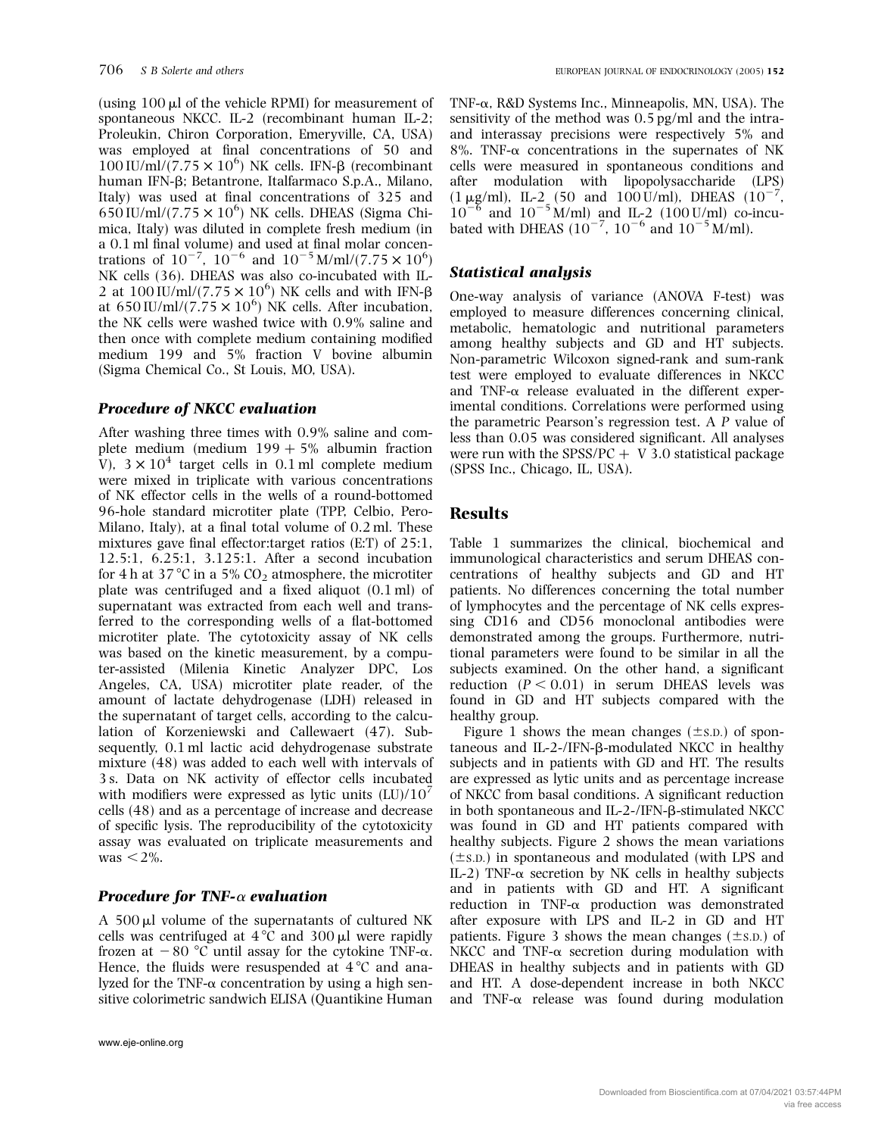(using  $100 \mu l$  of the vehicle RPMI) for measurement of spontaneous NKCC. IL-2 (recombinant human IL-2; Proleukin, Chiron Corporation, Emeryville, CA, USA) was employed at final concentrations of 50 and  $100$  IU/ml/ $(7.75 \times 10^6)$  NK cells. IFN- $\beta$  (recombinant human IFN-b; Betantrone, Italfarmaco S.p.A., Milano, Italy) was used at final concentrations of 325 and  $650$  IU/ml/(7.75  $\times$  10<sup>6</sup>) NK cells. DHEAS (Sigma Chimica, Italy) was diluted in complete fresh medium (in a 0.1 ml final volume) and used at final molar concentrations of  $10^{-7}$ ,  $10^{-6}$  and  $10^{-5}$  M/ml/(7.75  $\times$   $10^{6}$ ) NK cells (36). DHEAS was also co-incubated with IL-2 at  $100 \text{ IU/ml}/(7.75 \times 10^6)$  NK cells and with IFN- $\beta$ at 650 IU/ml/(7.75  $\times$  10<sup>6</sup>) NK cells. After incubation, the NK cells were washed twice with 0.9% saline and then once with complete medium containing modified medium 199 and 5% fraction V bovine albumin (Sigma Chemical Co., St Louis, MO, USA).

#### Procedure of NKCC evaluation

After washing three times with 0.9% saline and complete medium (medium  $199 + 5%$  albumin fraction V),  $3 \times 10^4$  target cells in 0.1 ml complete medium were mixed in triplicate with various concentrations of NK effector cells in the wells of a round-bottomed 96-hole standard microtiter plate (TPP, Celbio, Pero-Milano, Italy), at a final total volume of 0.2 ml. These mixtures gave final effector:target ratios (E:T) of 25:1, 12.5:1, 6.25:1, 3.125:1. After a second incubation for 4 h at 37 °C in a 5%  $CO<sub>2</sub>$  atmosphere, the microtiter plate was centrifuged and a fixed aliquot (0.1 ml) of supernatant was extracted from each well and transferred to the corresponding wells of a flat-bottomed microtiter plate. The cytotoxicity assay of NK cells was based on the kinetic measurement, by a computer-assisted (Milenia Kinetic Analyzer DPC, Los Angeles, CA, USA) microtiter plate reader, of the amount of lactate dehydrogenase (LDH) released in the supernatant of target cells, according to the calculation of Korzeniewski and Callewaert (47). Subsequently, 0.1 ml lactic acid dehydrogenase substrate mixture (48) was added to each well with intervals of 3 s. Data on NK activity of effector cells incubated with modifiers were expressed as lytic units  $(LU)/10<sup>7</sup>$ cells (48) and as a percentage of increase and decrease of specific lysis. The reproducibility of the cytotoxicity assay was evaluated on triplicate measurements and  $was < 2\%$ .

#### **Procedure for TNF-** $\alpha$  **evaluation**

A  $500 \mu l$  volume of the supernatants of cultured NK cells was centrifuged at  $4^{\circ}$ C and  $300 \mu$ l were rapidly frozen at  $-80$  °C until assay for the cytokine TNF- $\alpha$ . Hence, the fluids were resuspended at  $4^{\circ}$ C and analyzed for the TNF- $\alpha$  concentration by using a high sensitive colorimetric sandwich ELISA (Quantikine Human TNF-a, R&D Systems Inc., Minneapolis, MN, USA). The sensitivity of the method was 0.5 pg/ml and the intraand interassay precisions were respectively 5% and 8%. TNF- $\alpha$  concentrations in the supernates of NK cells were measured in spontaneous conditions and after modulation with lipopolysaccharide (LPS)  $(1 \mu g/ml)$ , IL-2 (50 and 100 U/ml), DHEAS  $(10^{-7})$ ,  $10^{-6}$  and  $10^{-5}$  M/ml) and IL-2 (100 U/ml) co-incubated with DHEAS  $(10^{-7}, 10^{-6} \text{ and } 10^{-5} \text{ M/ml})$ .

#### Statistical analysis

One-way analysis of variance (ANOVA F-test) was employed to measure differences concerning clinical, metabolic, hematologic and nutritional parameters among healthy subjects and GD and HT subjects. Non-parametric Wilcoxon signed-rank and sum-rank test were employed to evaluate differences in NKCC and TNF- $\alpha$  release evaluated in the different experimental conditions. Correlations were performed using the parametric Pearson's regression test. A P value of less than 0.05 was considered significant. All analyses were run with the SPSS/PC  $+$  V 3.0 statistical package (SPSS Inc., Chicago, IL, USA).

### Results

Table 1 summarizes the clinical, biochemical and immunological characteristics and serum DHEAS concentrations of healthy subjects and GD and HT patients. No differences concerning the total number of lymphocytes and the percentage of NK cells expressing CD16 and CD56 monoclonal antibodies were demonstrated among the groups. Furthermore, nutritional parameters were found to be similar in all the subjects examined. On the other hand, a significant reduction  $(P < 0.01)$  in serum DHEAS levels was found in GD and HT subjects compared with the healthy group.

Figure 1 shows the mean changes  $(\pm s.D.)$  of spontaneous and  $IL-2-/IFN-\beta$ -modulated NKCC in healthy subjects and in patients with GD and HT. The results are expressed as lytic units and as percentage increase of NKCC from basal conditions. A significant reduction in both spontaneous and IL-2-/IFN-b-stimulated NKCC was found in GD and HT patients compared with healthy subjects. Figure 2 shows the mean variations  $(\pm s.p.)$  in spontaneous and modulated (with LPS and IL-2) TNF- $\alpha$  secretion by NK cells in healthy subjects and in patients with GD and HT. A significant reduction in TNF-a production was demonstrated after exposure with LPS and IL-2 in GD and HT patients. Figure 3 shows the mean changes  $(\pm s.p.)$  of NKCC and TNF- $\alpha$  secretion during modulation with DHEAS in healthy subjects and in patients with GD and HT. A dose-dependent increase in both NKCC and TNF- $\alpha$  release was found during modulation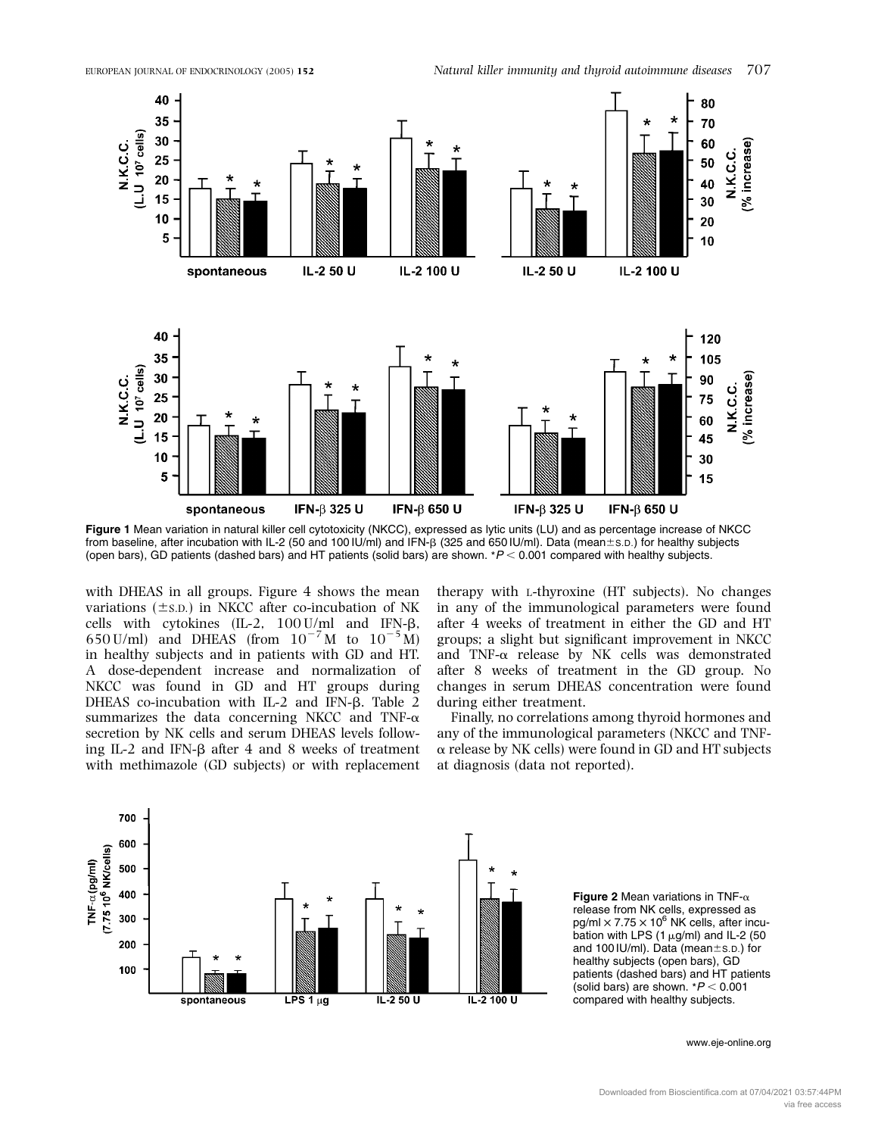

Figure 1 Mean variation in natural killer cell cytotoxicity (NKCC), expressed as lytic units (LU) and as percentage increase of NKCC from baseline, after incubation with IL-2 (50 and 100 IU/ml) and IFN-B (325 and 650 IU/ml). Data (mean ± s.D.) for healthy subjects (open bars), GD patients (dashed bars) and HT patients (solid bars) are shown.  $*P < 0.001$  compared with healthy subjects.

with DHEAS in all groups. Figure 4 shows the mean variations  $(\pm s.D.)$  in NKCC after co-incubation of NK cells with cytokines (IL-2,  $100$  U/ml and IFN- $\beta$ , 650 U/ml) and DHEAS (from  $10^{-7}$  M to  $10^{-5}$  M) in healthy subjects and in patients with GD and HT. A dose-dependent increase and normalization of NKCC was found in GD and HT groups during DHEAS co-incubation with IL-2 and IFN- $\beta$ . Table 2 summarizes the data concerning NKCC and TNF- $\alpha$ secretion by NK cells and serum DHEAS levels following IL-2 and IFN- $\beta$  after 4 and 8 weeks of treatment with methimazole (GD subjects) or with replacement therapy with L-thyroxine (HT subjects). No changes in any of the immunological parameters were found after 4 weeks of treatment in either the GD and HT groups; a slight but significant improvement in NKCC and TNF- $\alpha$  release by NK cells was demonstrated after 8 weeks of treatment in the GD group. No changes in serum DHEAS concentration were found during either treatment.

Finally, no correlations among thyroid hormones and any of the immunological parameters (NKCC and TNF- $\alpha$  release by NK cells) were found in GD and HT subjects at diagnosis (data not reported).



Figure 2 Mean variations in TNF- $\alpha$ release from NK cells, expressed as  $pg/ml \times 7.75 \times 10^6$  NK cells, after incubation with LPS (1  $\mu$ g/ml) and IL-2 (50 and 100 IU/ml). Data (mean $\pm$ s.D.) for healthy subjects (open bars), GD patients (dashed bars) and HT patients (solid bars) are shown.  $*P < 0.001$ compared with healthy subjects.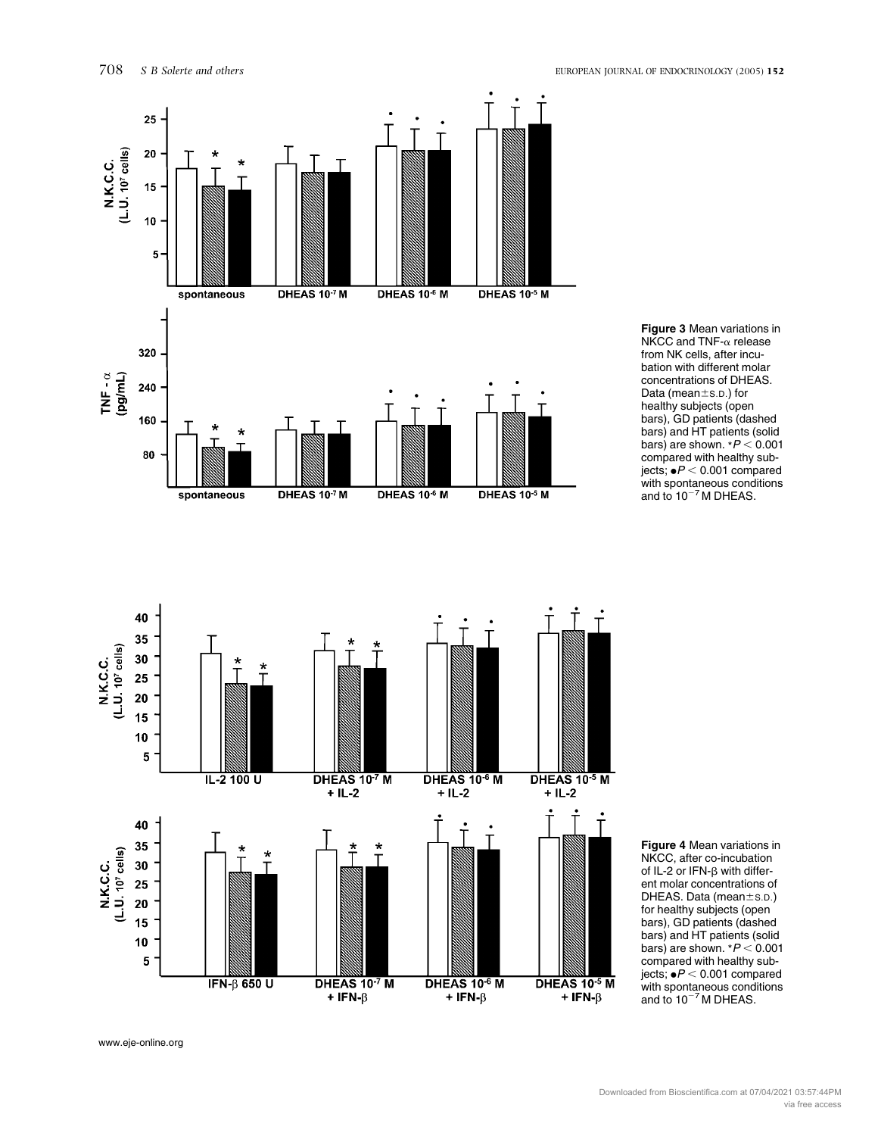

Figure 3 Mean variations in  $N<sup>K</sup>CC$  and TNF- $\alpha$  release from NK cells, after incubation with different molar concentrations of DHEAS. Data (mean±s.D.) for healthy subjects (open bars), GD patients (dashed bars) and HT patients (solid bars) are shown.  $*P < 0.001$ compared with healthy subjects;  $\bullet P < 0.001$  compared with spontaneous conditions and to  $10^{-7}$  M DHEAS.



Figure 4 Mean variations in NKCC, after co-incubation of IL-2 or IFN- $\beta$  with different molar concentrations of DHEAS. Data (mean $\pm$ s.D.) for healthy subjects (open bars), GD patients (dashed bars) and HT patients (solid bars) are shown.  $*P < 0.001$ compared with healthy subjects;  $\bullet P < 0.001$  compared with spontaneous conditions<br>and to 10<sup>–7</sup>M DHEAS.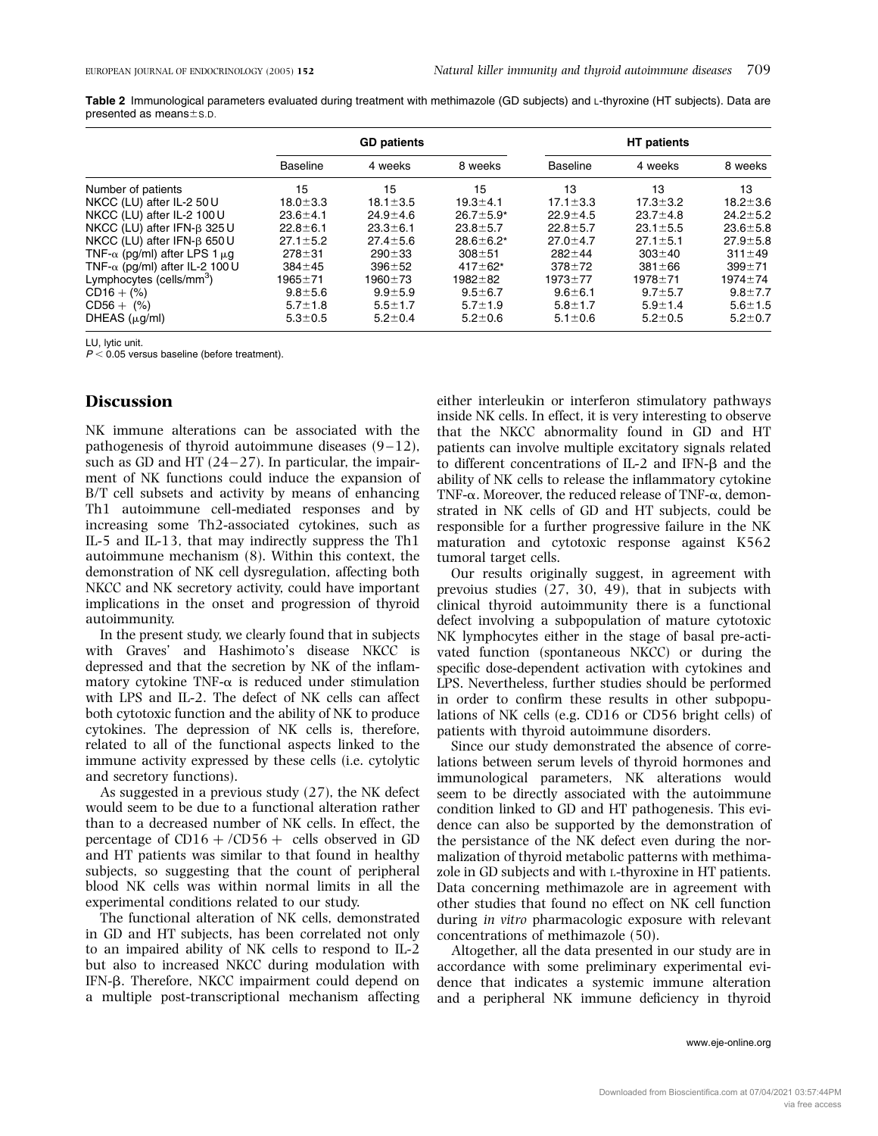Table 2 Immunological parameters evaluated during treatment with methimazole (GD subjects) and L-thyroxine (HT subjects). Data are presented as means $\pm$ s.p.

|                                           | <b>GD patients</b> |                |                 | <b>HT</b> patients |                |                |
|-------------------------------------------|--------------------|----------------|-----------------|--------------------|----------------|----------------|
|                                           | <b>Baseline</b>    | 4 weeks        | 8 weeks         | <b>Baseline</b>    | 4 weeks        | 8 weeks        |
| Number of patients                        | 15                 | 15             | 15              | 13                 | 13             | 13             |
| NKCC (LU) after IL-2 50 U                 | $18.0 \pm 3.3$     | $18.1 \pm 3.5$ | $19.3 + 4.1$    | $17.1 \pm 3.3$     | $17.3 \pm 3.2$ | $18.2 \pm 3.6$ |
| NKCC (LU) after IL-2 100 U                | $23.6 + 4.1$       | $24.9 \pm 4.6$ | $26.7 \pm 5.9*$ | $22.9 + 4.5$       | $23.7 \pm 4.8$ | $24.2 \pm 5.2$ |
| NKCC (LU) after IFN-B 325 U               | $22.8 \pm 6.1$     | $23.3 \pm 6.1$ | $23.8 \pm 5.7$  | $22.8 \pm 5.7$     | $23.1 \pm 5.5$ | $23.6 \pm 5.8$ |
| NKCC (LU) after IFN-B 650 U               | $27.1 \pm 5.2$     | $27.4 \pm 5.6$ | $28.6 \pm 6.2*$ | $27.0 \pm 4.7$     | $27.1 \pm 5.1$ | $27.9 \pm 5.8$ |
| TNF- $\alpha$ (pg/ml) after LPS 1 $\mu$ g | $278 + 31$         | $290 + 33$     | $308 + 51$      | $282 + 44$         | $303 + 40$     | $311 \pm 49$   |
| TNF- $\alpha$ (pg/ml) after IL-2 100 U    | $384 \pm 45$       | $396 + 52$     | $417 + 62*$     | $378 + 72$         | $381 \pm 66$   | $399 + 71$     |
| Lymphocytes (cells/mm <sup>3</sup> )      | 1965±71            | 1960±73        | $1982 + 82$     | $1973 + 77$        | $1978 + 71$    | $1974 + 74$    |
| $CD16 + (%)$                              | $9.8 + 5.6$        | $9.9 + 5.9$    | $9.5 \pm 6.7$   | $9.6 \pm 6.1$      | $9.7 \pm 5.7$  | $9.8 \pm 7.7$  |
| $CDS6 + (%)$                              | $5.7 \pm 1.8$      | $5.5 \pm 1.7$  | $5.7 \pm 1.9$   | $5.8 + 1.7$        | $5.9 \pm 1.4$  | $5.6 \pm 1.5$  |
| DHEAS $(\mu g/ml)$                        | $5.3 \pm 0.5$      | $5.2 \pm 0.4$  | $5.2 \pm 0.6$   | $5.1 \pm 0.6$      | $5.2 \pm 0.5$  | $5.2 \pm 0.7$  |

LU, lytic unit.

 $P < 0.05$  versus baseline (before treatment).

#### **Discussion**

NK immune alterations can be associated with the pathogenesis of thyroid autoimmune diseases (9–12), such as GD and HT  $(24-27)$ . In particular, the impairment of NK functions could induce the expansion of B/T cell subsets and activity by means of enhancing Th1 autoimmune cell-mediated responses and by increasing some Th2-associated cytokines, such as IL-5 and IL-13, that may indirectly suppress the Th1 autoimmune mechanism (8). Within this context, the demonstration of NK cell dysregulation, affecting both NKCC and NK secretory activity, could have important implications in the onset and progression of thyroid autoimmunity.

In the present study, we clearly found that in subjects with Graves' and Hashimoto's disease NKCC is depressed and that the secretion by NK of the inflammatory cytokine TNF- $\alpha$  is reduced under stimulation with LPS and IL-2. The defect of NK cells can affect both cytotoxic function and the ability of NK to produce cytokines. The depression of NK cells is, therefore, related to all of the functional aspects linked to the immune activity expressed by these cells (i.e. cytolytic and secretory functions).

As suggested in a previous study (27), the NK defect would seem to be due to a functional alteration rather than to a decreased number of NK cells. In effect, the percentage of  $CD16 + /CD56 +$  cells observed in GD and HT patients was similar to that found in healthy subjects, so suggesting that the count of peripheral blood NK cells was within normal limits in all the experimental conditions related to our study.

The functional alteration of NK cells, demonstrated in GD and HT subjects, has been correlated not only to an impaired ability of NK cells to respond to IL-2 but also to increased NKCC during modulation with IFN-b. Therefore, NKCC impairment could depend on a multiple post-transcriptional mechanism affecting

either interleukin or interferon stimulatory pathways inside NK cells. In effect, it is very interesting to observe that the NKCC abnormality found in GD and HT patients can involve multiple excitatory signals related to different concentrations of IL-2 and IFN- $\beta$  and the ability of NK cells to release the inflammatory cytokine TNF- $\alpha$ . Moreover, the reduced release of TNF- $\alpha$ , demonstrated in NK cells of GD and HT subjects, could be responsible for a further progressive failure in the NK maturation and cytotoxic response against K562 tumoral target cells.

Our results originally suggest, in agreement with prevoius studies (27, 30, 49), that in subjects with clinical thyroid autoimmunity there is a functional defect involving a subpopulation of mature cytotoxic NK lymphocytes either in the stage of basal pre-activated function (spontaneous NKCC) or during the specific dose-dependent activation with cytokines and LPS. Nevertheless, further studies should be performed in order to confirm these results in other subpopulations of NK cells (e.g. CD16 or CD56 bright cells) of patients with thyroid autoimmune disorders.

Since our study demonstrated the absence of correlations between serum levels of thyroid hormones and immunological parameters, NK alterations would seem to be directly associated with the autoimmune condition linked to GD and HT pathogenesis. This evidence can also be supported by the demonstration of the persistance of the NK defect even during the normalization of thyroid metabolic patterns with methimazole in GD subjects and with L-thyroxine in HT patients. Data concerning methimazole are in agreement with other studies that found no effect on NK cell function during in vitro pharmacologic exposure with relevant concentrations of methimazole (50).

Altogether, all the data presented in our study are in accordance with some preliminary experimental evidence that indicates a systemic immune alteration and a peripheral NK immune deficiency in thyroid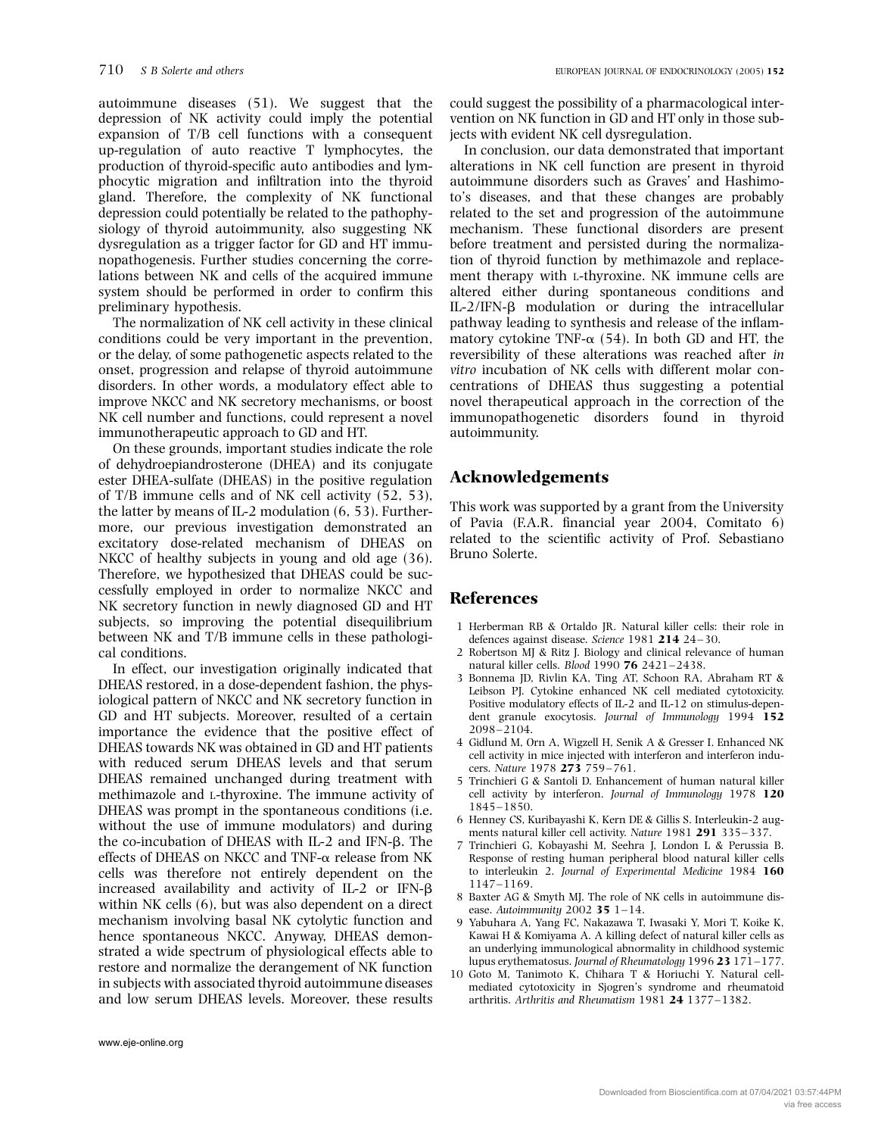autoimmune diseases (51). We suggest that the depression of NK activity could imply the potential expansion of T/B cell functions with a consequent up-regulation of auto reactive T lymphocytes, the production of thyroid-specific auto antibodies and lymphocytic migration and infiltration into the thyroid gland. Therefore, the complexity of NK functional depression could potentially be related to the pathophysiology of thyroid autoimmunity, also suggesting NK dysregulation as a trigger factor for GD and HT immunopathogenesis. Further studies concerning the correlations between NK and cells of the acquired immune system should be performed in order to confirm this preliminary hypothesis.

The normalization of NK cell activity in these clinical conditions could be very important in the prevention, or the delay, of some pathogenetic aspects related to the onset, progression and relapse of thyroid autoimmune disorders. In other words, a modulatory effect able to improve NKCC and NK secretory mechanisms, or boost NK cell number and functions, could represent a novel immunotherapeutic approach to GD and HT.

On these grounds, important studies indicate the role of dehydroepiandrosterone (DHEA) and its conjugate ester DHEA-sulfate (DHEAS) in the positive regulation of T/B immune cells and of NK cell activity (52, 53), the latter by means of IL-2 modulation (6, 53). Furthermore, our previous investigation demonstrated an excitatory dose-related mechanism of DHEAS on NKCC of healthy subjects in young and old age (36). Therefore, we hypothesized that DHEAS could be successfully employed in order to normalize NKCC and NK secretory function in newly diagnosed GD and HT subjects, so improving the potential disequilibrium between NK and T/B immune cells in these pathological conditions.

In effect, our investigation originally indicated that DHEAS restored, in a dose-dependent fashion, the physiological pattern of NKCC and NK secretory function in GD and HT subjects. Moreover, resulted of a certain importance the evidence that the positive effect of DHEAS towards NK was obtained in GD and HT patients with reduced serum DHEAS levels and that serum DHEAS remained unchanged during treatment with methimazole and L-thyroxine. The immune activity of DHEAS was prompt in the spontaneous conditions (i.e. without the use of immune modulators) and during the co-incubation of DHEAS with  $IL-2$  and IFN- $\beta$ . The effects of DHEAS on NKCC and TNF- $\alpha$  release from NK cells was therefore not entirely dependent on the increased availability and activity of  $IL-2$  or  $IFN-\beta$ within NK cells (6), but was also dependent on a direct mechanism involving basal NK cytolytic function and hence spontaneous NKCC. Anyway, DHEAS demonstrated a wide spectrum of physiological effects able to restore and normalize the derangement of NK function in subjects with associated thyroid autoimmune diseases and low serum DHEAS levels. Moreover, these results

In conclusion, our data demonstrated that important alterations in NK cell function are present in thyroid autoimmune disorders such as Graves' and Hashimoto's diseases, and that these changes are probably related to the set and progression of the autoimmune mechanism. These functional disorders are present before treatment and persisted during the normalization of thyroid function by methimazole and replacement therapy with L-thyroxine. NK immune cells are altered either during spontaneous conditions and IL-2/IFN-b modulation or during the intracellular pathway leading to synthesis and release of the inflammatory cytokine TNF- $\alpha$  (54). In both GD and HT, the reversibility of these alterations was reached after in vitro incubation of NK cells with different molar concentrations of DHEAS thus suggesting a potential novel therapeutical approach in the correction of the immunopathogenetic disorders found in thyroid autoimmunity.

## Acknowledgements

This work was supported by a grant from the University of Pavia (F.A.R. financial year 2004, Comitato 6) related to the scientific activity of Prof. Sebastiano Bruno Solerte.

#### References

- 1 Herberman RB & Ortaldo JR. Natural killer cells: their role in defences against disease. Science 1981 214 24–30.
- 2 Robertson MJ & Ritz J. Biology and clinical relevance of human natural killer cells. Blood 1990 76 2421–2438.
- 3 Bonnema JD, Rivlin KA, Ting AT, Schoon RA, Abraham RT & Leibson PJ. Cytokine enhanced NK cell mediated cytotoxicity. Positive modulatory effects of IL-2 and IL-12 on stimulus-dependent granule exocytosis. Journal of Immunology 1994 152 2098–2104.
- 4 Gidlund M, Orn A, Wigzell H, Senik A & Gresser I. Enhanced NK cell activity in mice injected with interferon and interferon inducers. Nature 1978 273 759– 761.
- 5 Trinchieri G & Santoli D. Enhancement of human natural killer cell activity by interferon. Journal of Immunology 1978 120 1845–1850.
- 6 Henney CS, Kuribayashi K, Kern DE & Gillis S. Interleukin-2 augments natural killer cell activity. Nature 1981 291 335–337.
- 7 Trinchieri G, Kobayashi M, Seehra J, London L & Perussia B. Response of resting human peripheral blood natural killer cells to interleukin 2. Journal of Experimental Medicine 1984 160 1147–1169.
- 8 Baxter AG & Smyth MJ. The role of NK cells in autoimmune disease. Autoimmunity 2002 35  $1-14$ .
- 9 Yabuhara A, Yang FC, Nakazawa T, Iwasaki Y, Mori T, Koike K, Kawai H & Komiyama A. A killing defect of natural killer cells as an underlying immunological abnormality in childhood systemic lupus erythematosus. Journal of Rheumatology 1996 23 171–177.
- 10 Goto M, Tanimoto K, Chihara T & Horiuchi Y. Natural cellmediated cytotoxicity in Sjogren's syndrome and rheumatoid arthritis. Arthritis and Rheumatism 1981 24 1377– 1382.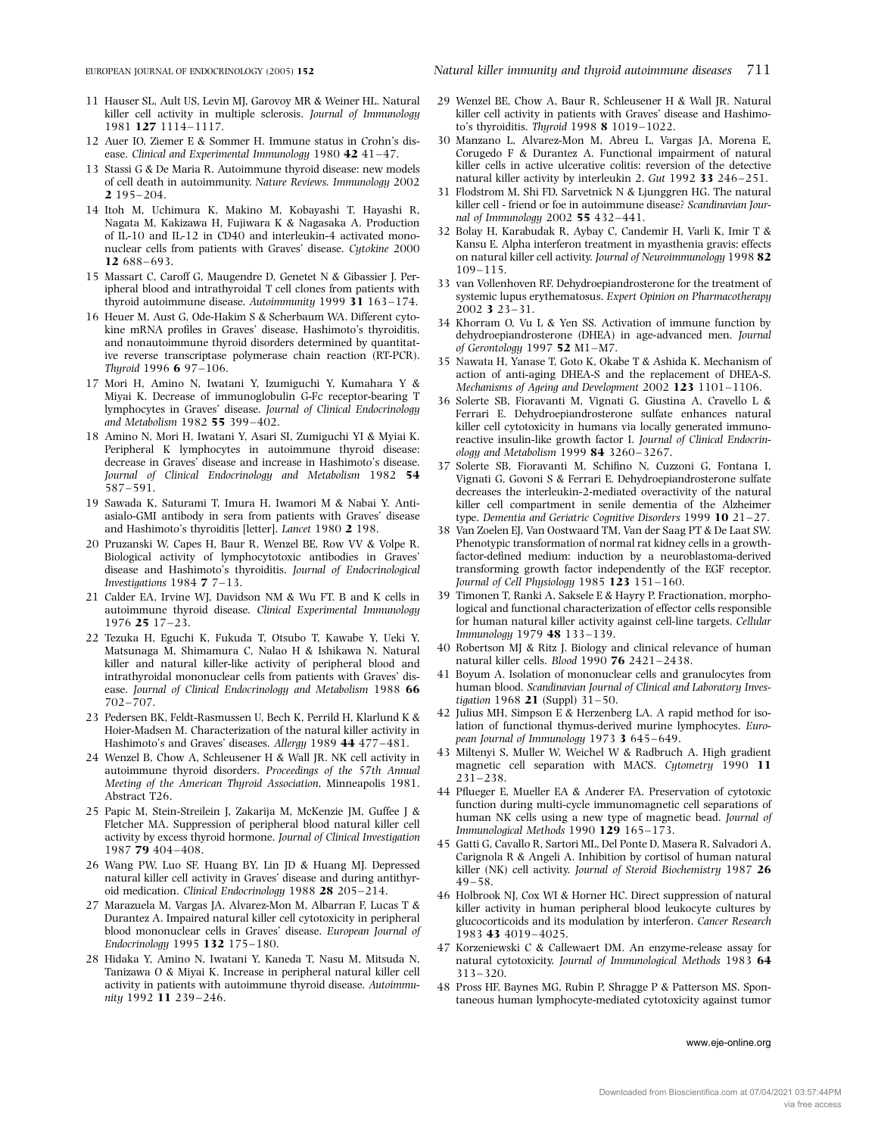- 11 Hauser SL, Ault US, Levin MJ, Garovoy MR & Weiner HL. Natural killer cell activity in multiple sclerosis. Journal of Immunology 1981 127 1114–1117.
- 12 Auer IO, Ziemer E & Sommer H. Immune status in Crohn's disease. Clinical and Experimental Immunology 1980 42 41-47.
- 13 Stassi G & De Maria R. Autoimmune thyroid disease: new models of cell death in autoimmunity. Nature Reviews. Immunology 2002 2 195– 204.
- 14 Itoh M, Uchimura K, Makino M, Kobayashi T, Hayashi R, Nagata M, Kakizawa H, Fujiwara K & Nagasaka A. Production of IL-10 and IL-12 in CD40 and interleukin-4 activated mononuclear cells from patients with Graves' disease. Cytokine 2000 12 688–693.
- 15 Massart C, Caroff G, Maugendre D, Genetet N & Gibassier J. Peripheral blood and intrathyroidal T cell clones from patients with thyroid autoimmune disease. Autoimmunity 1999 31 163–174.
- 16 Heuer M, Aust G, Ode-Hakim S & Scherbaum WA. Different cytokine mRNA profiles in Graves' disease, Hashimoto's thyroiditis, and nonautoimmune thyroid disorders determined by quantitative reverse transcriptase polymerase chain reaction (RT-PCR). Thyroid 1996 6 97–106.
- 17 Mori H, Amino N, Iwatani Y, Izumiguchi Y, Kumahara Y & Miyai K. Decrease of immunoglobulin G-Fc receptor-bearing T lymphocytes in Graves' disease. Journal of Clinical Endocrinology and Metabolism 1982 55 399–402.
- 18 Amino N, Mori H, Iwatani Y, Asari SI, Zumiguchi YI & Myiai K. Peripheral K lymphocytes in autoimmune thyroid disease: decrease in Graves' disease and increase in Hashimoto's disease. Journal of Clinical Endocrinology and Metabolism 1982 54 587– 591.
- 19 Sawada K, Saturami T, Imura H, Iwamori M & Nabai Y. Antiasialo-GMI antibody in sera from patients with Graves' disease and Hashimoto's thyroiditis [letter]. Lancet 1980 2 198.
- 20 Pruzanski W, Capes H, Baur R, Wenzel BE, Row VV & Volpe R. Biological activity of lymphocytotoxic antibodies in Graves' disease and Hashimoto's thyroiditis. Journal of Endocrinological Investigations  $1984 \text{ }7 \text{ }7-13$ .
- 21 Calder EA, Irvine WJ, Davidson NM & Wu FT. B and K cells in autoimmune thyroid disease. Clinical Experimental Immunology 1976 25 17–23.
- 22 Tezuka H, Eguchi K, Fukuda T, Otsubo T, Kawabe Y, Ueki Y, Matsunaga M, Shimamura C, Nalao H & Ishikawa N. Natural killer and natural killer-like activity of peripheral blood and intrathyroidal mononuclear cells from patients with Graves' disease. Journal of Clinical Endocrinology and Metabolism 1988 66 702– 707.
- 23 Pedersen BK, Feldt-Rasmussen U, Bech K, Perrild H, Klarlund K & Hoier-Madsen M. Characterization of the natural killer activity in Hashimoto's and Graves' diseases. Allergy 1989 44 477–481.
- 24 Wenzel B, Chow A, Schleusener H & Wall JR. NK cell activity in autoimmune thyroid disorders. Proceedings of the 57th Annual Meeting of the American Thyroid Association, Minneapolis 1981. Abstract T26.
- 25 Papic M, Stein-Streilein J, Zakarija M, McKenzie JM, Guffee J & Fletcher MA. Suppression of peripheral blood natural killer cell activity by excess thyroid hormone. Journal of Clinical Investigation 1987 79 404– 408.
- 26 Wang PW, Luo SF, Huang BY, Lin JD & Huang MJ. Depressed natural killer cell activity in Graves' disease and during antithyroid medication. Clinical Endocrinology 1988 28 205–214.
- 27 Marazuela M, Vargas JA, Alvarez-Mon M, Albarran F, Lucas T & Durantez A. Impaired natural killer cell cytotoxicity in peripheral blood mononuclear cells in Graves' disease. European Journal of Endocrinology 1995 132 175–180.
- 28 Hidaka Y, Amino N, Iwatani Y, Kaneda T, Nasu M, Mitsuda N, Tanizawa O & Miyai K. Increase in peripheral natural killer cell activity in patients with autoimmune thyroid disease. Autoimmunity 1992 11 239–246.
- 29 Wenzel BE, Chow A, Baur R, Schleusener H & Wall JR. Natural killer cell activity in patients with Graves' disease and Hashimoto's thyroiditis. Thyroid 1998 8 1019–1022.
- 30 Manzano L, Alvarez-Mon M, Abreu L, Vargas JA, Morena E, Corugedo F & Durantez A. Functional impairment of natural killer cells in active ulcerative colitis: reversion of the detective natural killer activity by interleukin 2. Gut 1992 33 246–251.
- 31 Flodstrom M, Shi FD, Sarvetnick N & Ljunggren HG. The natural killer cell - friend or foe in autoimmune disease? Scandinavian Journal of Immunology 2002 55 432–441.
- 32 Bolay H, Karabudak R, Aybay C, Candemir H, Varli K, Imir T & Kansu E. Alpha interferon treatment in myasthenia gravis: effects on natural killer cell activity. Journal of Neuroimmunology 1998 82 109–115.
- 33 van Vollenhoven RF. Dehydroepiandrosterone for the treatment of systemic lupus erythematosus. Expert Opinion on Pharmacotherapy 2002 3 23–31.
- 34 Khorram O, Vu L & Yen SS. Activation of immune function by dehydroepiandrosterone (DHEA) in age-advanced men. Journal of Gerontology 1997  $52$  M1-M7.
- 35 Nawata H, Yanase T, Goto K, Okabe T & Ashida K. Mechanism of action of anti-aging DHEA-S and the replacement of DHEA-S. Mechanisms of Ageing and Development 2002 123 1101-1106.
- 36 Solerte SB, Fioravanti M, Vignati G, Giustina A, Cravello L & Ferrari E. Dehydroepiandrosterone sulfate enhances natural killer cell cytotoxicity in humans via locally generated immunoreactive insulin-like growth factor I. Journal of Clinical Endocrinology and Metabolism 1999 84 3260–3267.
- 37 Solerte SB, Fioravanti M, Schifino N, Cuzzoni G, Fontana I, Vignati G, Govoni S & Ferrari E. Dehydroepiandrosterone sulfate decreases the interleukin-2-mediated overactivity of the natural killer cell compartment in senile dementia of the Alzheimer type. Dementia and Geriatric Cognitive Disorders 1999 10 21–27.
- 38 Van Zoelen EJ, Van Oostwaard TM, Van der Saag PT & De Laat SW. Phenotypic transformation of normal rat kidney cells in a growthfactor-defined medium: induction by a neuroblastoma-derived transforming growth factor independently of the EGF receptor. Journal of Cell Physiology 1985 123 151-160.
- 39 Timonen T, Ranki A, Saksele E & Hayry P. Fractionation, morphological and functional characterization of effector cells responsible for human natural killer activity against cell-line targets. Cellular Immunology 1979 48 133–139.
- 40 Robertson MJ & Ritz J. Biology and clinical relevance of human natural killer cells. Blood 1990 76 2421–2438.
- 41 Boyum A. Isolation of mononuclear cells and granulocytes from human blood. Scandinavian Journal of Clinical and Laboratory Investigation 1968 21 (Suppl) 31-50.
- 42 Julius MH, Simpson E & Herzenberg LA. A rapid method for isolation of functional thymus-derived murine lymphocytes. European Journal of Immunology 1973 3 645–649.
- 43 Miltenyi S, Muller W, Weichel W & Radbruch A. High gradient magnetic cell separation with MACS. Cytometry 1990 11 231–238.
- 44 Pflueger E, Mueller EA & Anderer FA. Preservation of cytotoxic function during multi-cycle immunomagnetic cell separations of human NK cells using a new type of magnetic bead. Journal of Immunological Methods 1990 129 165–173.
- 45 Gatti G, Cavallo R, Sartori ML, Del Ponte D, Masera R, Salvadori A, Carignola R & Angeli A. Inhibition by cortisol of human natural killer (NK) cell activity. Journal of Steroid Biochemistry 1987 26 49–58.
- 46 Holbrook NJ, Cox WI & Horner HC. Direct suppression of natural killer activity in human peripheral blood leukocyte cultures by glucocorticoids and its modulation by interferon. Cancer Research 1983 43 4019–4025.
- 47 Korzeniewski C & Callewaert DM. An enzyme-release assay for natural cytotoxicity. Journal of Immunological Methods 1983 64 313–320.
- 48 Pross HF, Baynes MG, Rubin P, Shragge P & Patterson MS. Spontaneous human lymphocyte-mediated cytotoxicity against tumor